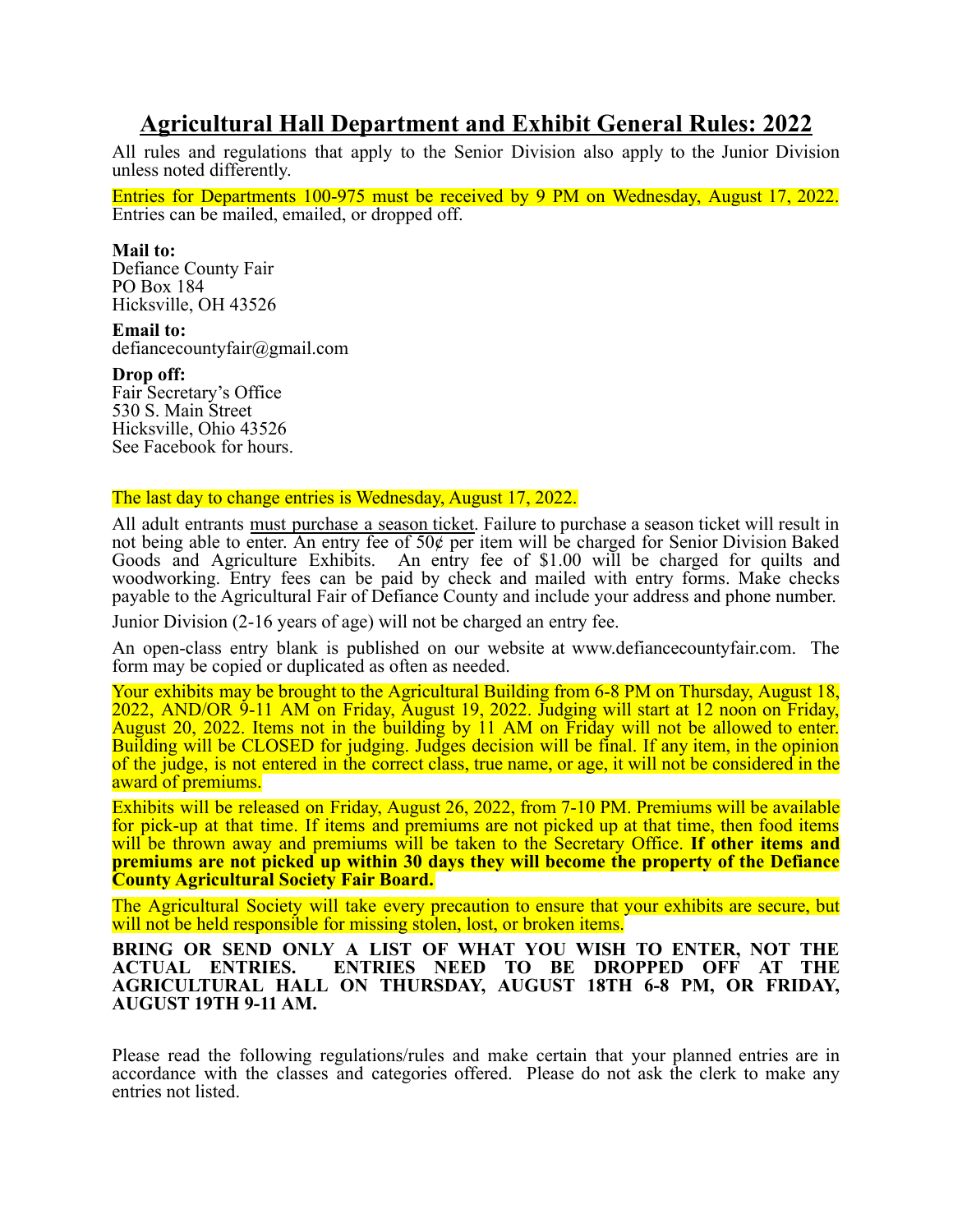### **Agricultural Hall Department and Exhibit General Rules: 2022**

All rules and regulations that apply to the Senior Division also apply to the Junior Division unless noted differently.

Entries for Departments 100-975 must be received by 9 PM on Wednesday, August 17, 2022. Entries can be mailed, emailed, or dropped off.

#### **Mail to:**

Defiance County Fair PO Box 184 Hicksville, OH 43526

**Email to:** defiancecountyfair@gmail.com

#### **Drop off:**

Fair Secretary's Office 530 S. Main Street Hicksville, Ohio 43526 See Facebook for hours.

#### The last day to change entries is Wednesday, August 17, 2022.

All adult entrants must purchase a season ticket. Failure to purchase a season ticket will result in not being able to enter. An entry fee of  $50¢$  per item will be charged for Senior Division Baked Goods and Agriculture Exhibits. An entry fee of \$1.00 will be charged for quilts and woodworking. Entry fees can be paid by check and mailed with entry forms. Make checks payable to the Agricultural Fair of Defiance County and include your address and phone number.

Junior Division (2-16 years of age) will not be charged an entry fee.

An open-class entry blank is published on our website at www.defiancecountyfair.com. The form may be copied or duplicated as often as needed.

Your exhibits may be brought to the Agricultural Building from 6-8 PM on Thursday, August 18, 2022, AND/OR 9-11 AM on Friday, August 19, 2022. Judging will start at 12 noon on Friday, August 20, 2022. Items not in the building by 11 AM on Friday will not be allowed to enter. Building will be CLOSED for judging. Judges decision will be final. If any item, in the opinion of the judge, is not entered in the correct class, true name, or age, it will not be considered in the award of premiums.

Exhibits will be released on Friday, August 26, 2022, from 7-10 PM. Premiums will be available for pick-up at that time. If items and premiums are not picked up at that time, then food items will be thrown away and premiums will be taken to the Secretary Office. **If other items and premiums are not picked up within 30 days they will become the property of the Defiance County Agricultural Society Fair Board.**

The Agricultural Society will take every precaution to ensure that your exhibits are secure, but will not be held responsible for missing stolen, lost, or broken items.

**BRING OR SEND ONLY A LIST OF WHAT YOU WISH TO ENTER, NOT THE ACTUAL ENTRIES. ENTRIES NEED TO BE DROPPED OFF AT THE AGRICULTURAL HALL ON THURSDAY, AUGUST 18TH 6-8 PM, OR FRIDAY, AUGUST 19TH 9-11 AM.**

Please read the following regulations/rules and make certain that your planned entries are in accordance with the classes and categories offered. Please do not ask the clerk to make any entries not listed.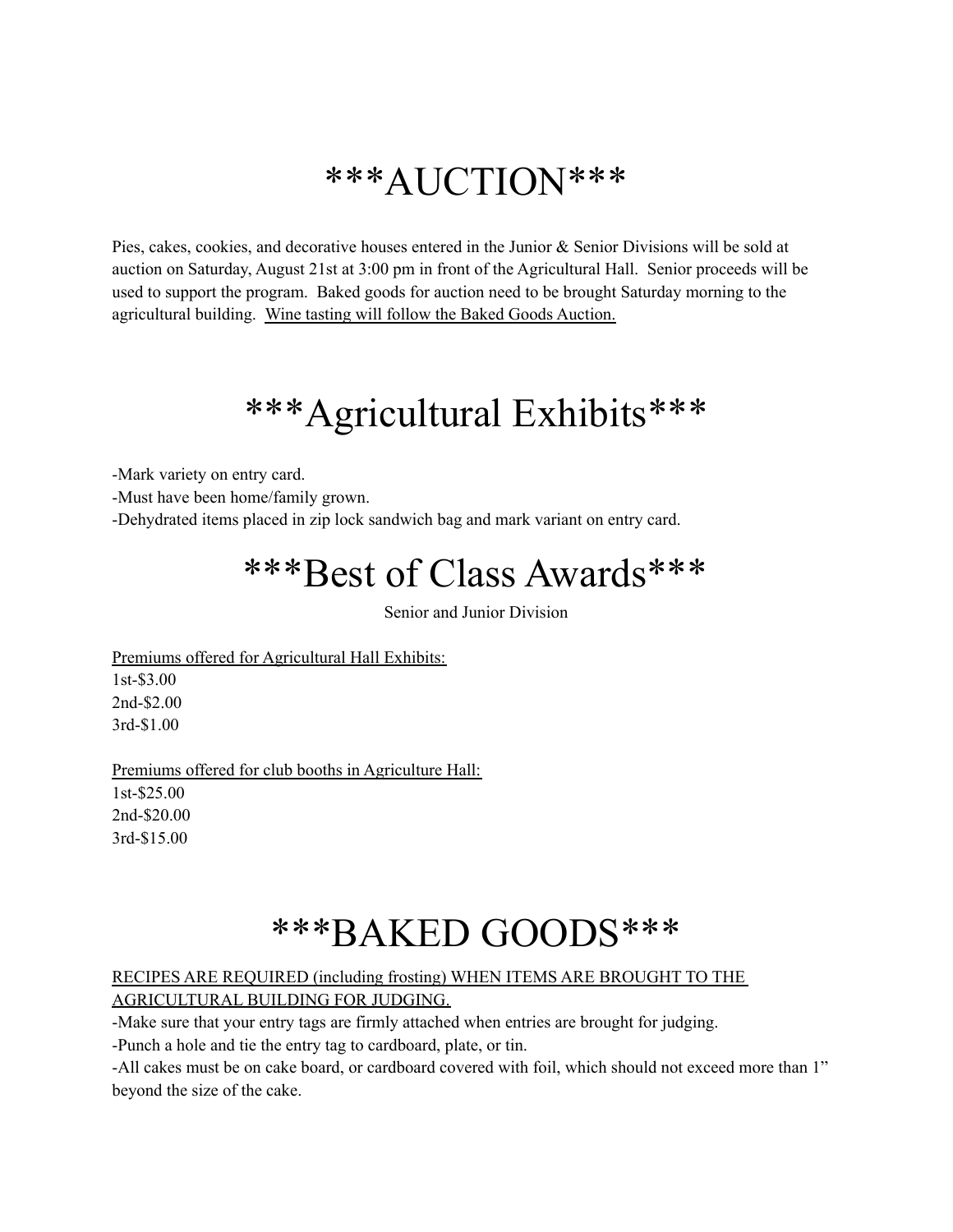## \*\*\*AUCTION\*\*\*

Pies, cakes, cookies, and decorative houses entered in the Junior & Senior Divisions will be sold at auction on Saturday, August 21st at 3:00 pm in front of the Agricultural Hall. Senior proceeds will be used to support the program. Baked goods for auction need to be brought Saturday morning to the agricultural building. Wine tasting will follow the Baked Goods Auction.

## \*\*\*Agricultural Exhibits\*\*\*

-Mark variety on entry card.

-Must have been home/family grown.

-Dehydrated items placed in zip lock sandwich bag and mark variant on entry card.

## \*\*\*Best of Class Awards\*\*\*

Senior and Junior Division

Premiums offered for Agricultural Hall Exhibits: 1st-\$3.00 2nd-\$2.00

3rd-\$1.00

Premiums offered for club booths in Agriculture Hall: 1st-\$25.00 2nd-\$20.00 3rd-\$15.00

## \*\*\*BAKED GOODS\*\*\*

#### RECIPES ARE REQUIRED (including frosting) WHEN ITEMS ARE BROUGHT TO THE

AGRICULTURAL BUILDING FOR JUDGING.

-Make sure that your entry tags are firmly attached when entries are brought for judging.

-Punch a hole and tie the entry tag to cardboard, plate, or tin.

-All cakes must be on cake board, or cardboard covered with foil, which should not exceed more than 1" beyond the size of the cake.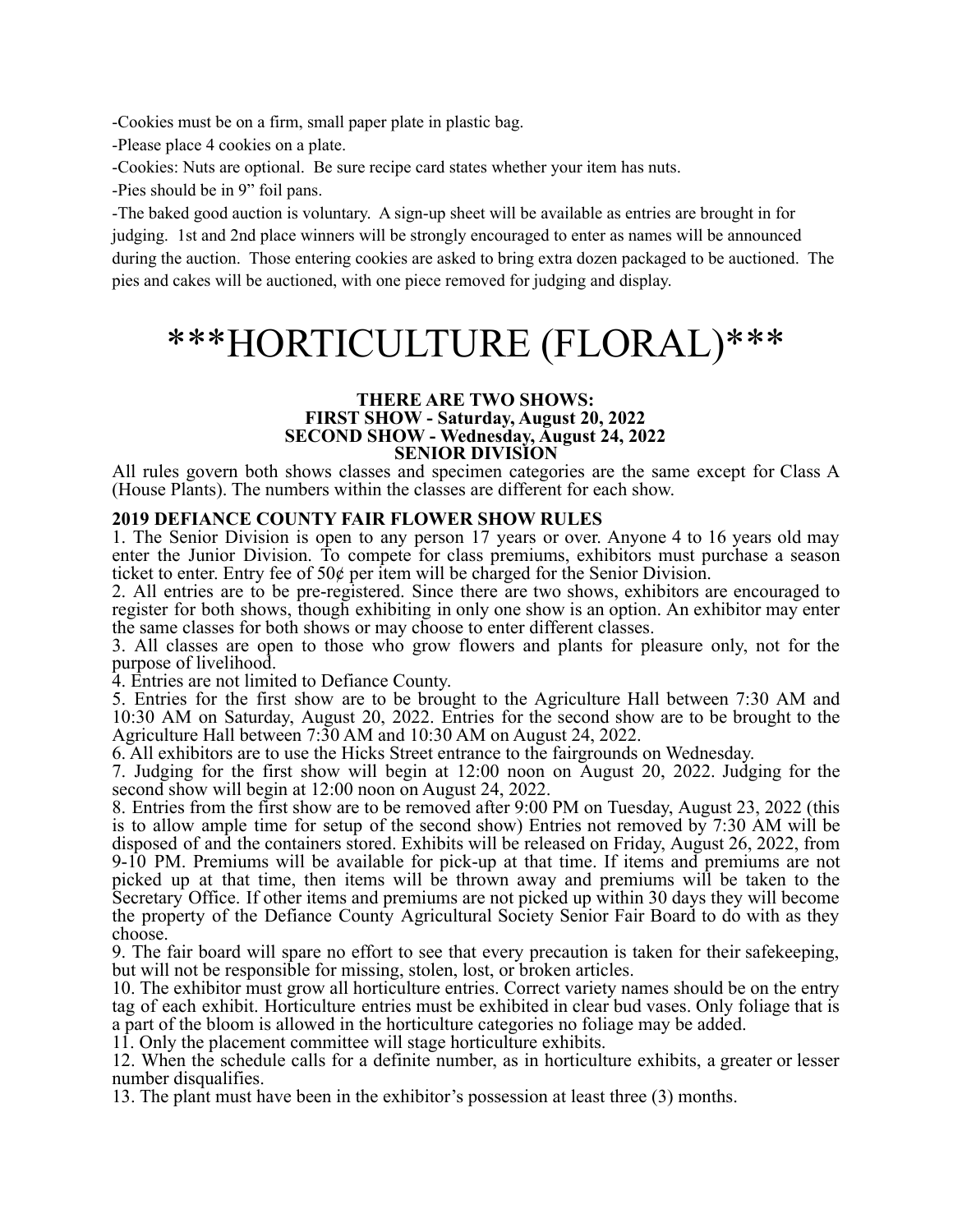-Cookies must be on a firm, small paper plate in plastic bag.

-Please place 4 cookies on a plate.

-Cookies: Nuts are optional. Be sure recipe card states whether your item has nuts.

-Pies should be in 9" foil pans.

-The baked good auction is voluntary. A sign-up sheet will be available as entries are brought in for judging. 1st and 2nd place winners will be strongly encouraged to enter as names will be announced during the auction. Those entering cookies are asked to bring extra dozen packaged to be auctioned. The pies and cakes will be auctioned, with one piece removed for judging and display.

## \*\*\*HORTICULTURE (FLORAL)\*\*\*

#### **THERE ARE TWO SHOWS: FIRST SHOW - Saturday, August 20, 2022 SECOND SHOW - Wednesday, August 24, 2022 SENIOR DIVISION**

All rules govern both shows classes and specimen categories are the same except for Class A (House Plants). The numbers within the classes are different for each show.

#### **2019 DEFIANCE COUNTY FAIR FLOWER SHOW RULES**

1. The Senior Division is open to any person 17 years or over. Anyone 4 to 16 years old may enter the Junior Division. To compete for class premiums, exhibitors must purchase a season ticket to enter. Entry fee of 50¢ per item will be charged for the Senior Division.

2. All entries are to be pre-registered. Since there are two shows, exhibitors are encouraged to register for both shows, though exhibiting in only one show is an option. An exhibitor may enter the same classes for both shows or may choose to enter different classes.

3. All classes are open to those who grow flowers and plants for pleasure only, not for the purpose of livelihood.

4. Entries are not limited to Defiance County.

5. Entries for the first show are to be brought to the Agriculture Hall between 7:30 AM and 10:30 AM on Saturday, August 20, 2022. Entries for the second show are to be brought to the Agriculture Hall between 7:30 AM and 10:30 AM on August 24, 2022.

6. All exhibitors are to use the Hicks Street entrance to the fairgrounds on Wednesday.

7. Judging for the first show will begin at 12:00 noon on August 20, 2022. Judging for the second show will begin at 12:00 noon on August 24, 2022.

8. Entries from the first show are to be removed after 9:00 PM on Tuesday, August 23, 2022 (this is to allow ample time for setup of the second show) Entries not removed by 7:30 AM will be disposed of and the containers stored. Exhibits will be released on Friday, August 26, 2022, from 9-10 PM. Premiums will be available for pick-up at that time. If items and premiums are not picked up at that time, then items will be thrown away and premiums will be taken to the Secretary Office. If other items and premiums are not picked up within 30 days they will become the property of the Defiance County Agricultural Society Senior Fair Board to do with as they choose.

9. The fair board will spare no effort to see that every precaution is taken for their safekeeping, but will not be responsible for missing, stolen, lost, or broken articles.

10. The exhibitor must grow all horticulture entries. Correct variety names should be on the entry tag of each exhibit. Horticulture entries must be exhibited in clear bud vases. Only foliage that is a part of the bloom is allowed in the horticulture categories no foliage may be added.

11. Only the placement committee will stage horticulture exhibits.

12. When the schedule calls for a definite number, as in horticulture exhibits, a greater or lesser number disqualifies.

13. The plant must have been in the exhibitor's possession at least three (3) months.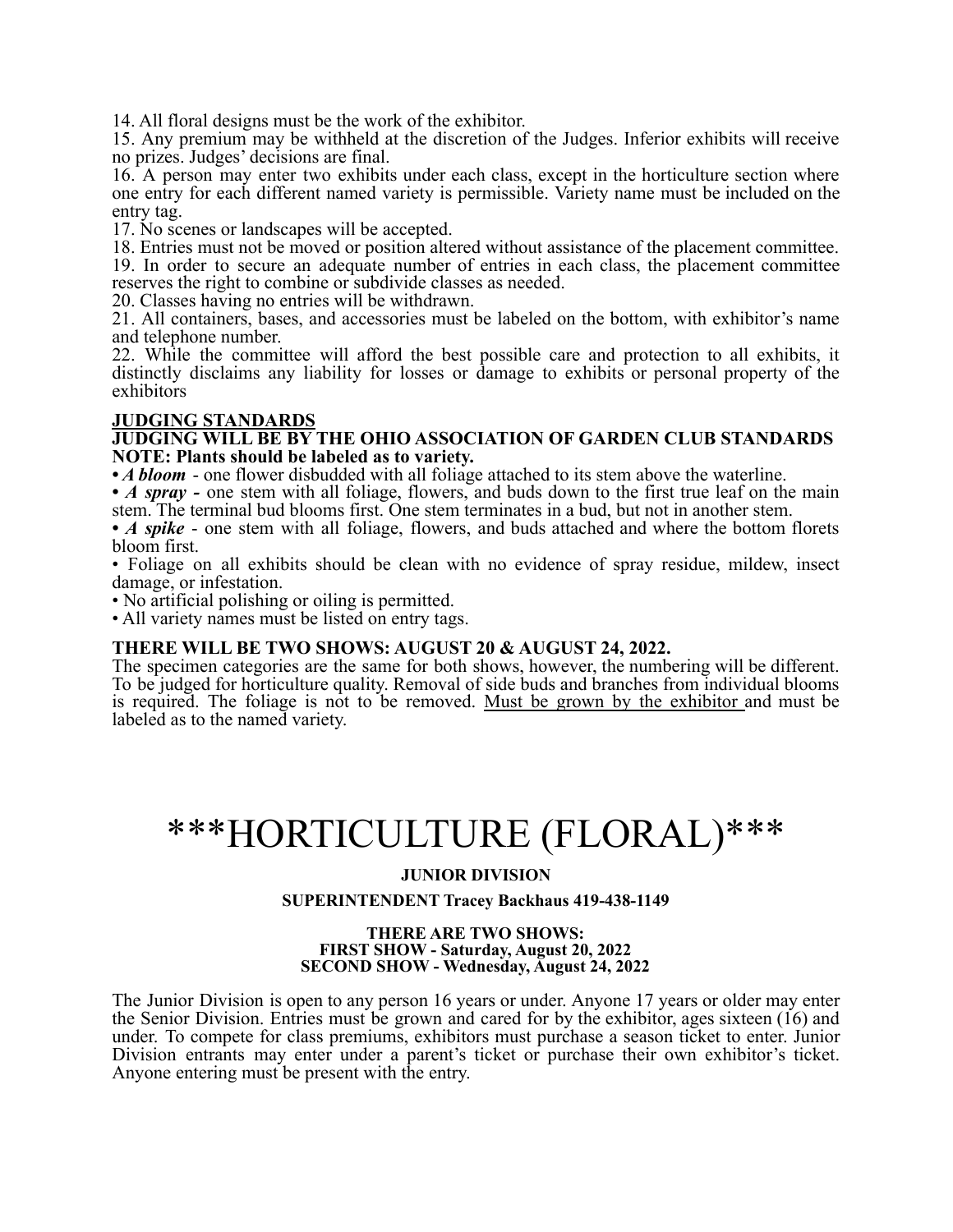14. All floral designs must be the work of the exhibitor.

15. Any premium may be withheld at the discretion of the Judges. Inferior exhibits will receive no prizes. Judges' decisions are final.

16. A person may enter two exhibits under each class, except in the horticulture section where one entry for each different named variety is permissible. Variety name must be included on the entry tag.

17. No scenes or landscapes will be accepted.

18. Entries must not be moved or position altered without assistance of the placement committee.

19. In order to secure an adequate number of entries in each class, the placement committee reserves the right to combine or subdivide classes as needed.

20. Classes having no entries will be withdrawn.

21. All containers, bases, and accessories must be labeled on the bottom, with exhibitor's name and telephone number.

22. While the committee will afford the best possible care and protection to all exhibits, it distinctly disclaims any liability for losses or damage to exhibits or personal property of the exhibitors

#### **JUDGING STANDARDS**

**JUDGING WILL BE BY THE OHIO ASSOCIATION OF GARDEN CLUB STANDARDS NOTE: Plants should be labeled as to variety.**

• *A bloom* - one flower disbudded with all foliage attached to its stem above the waterline.

• *A spray* - one stem with all foliage, flowers, and buds down to the first true leaf on the main stem. The terminal bud blooms first. One stem terminates in a bud, but not in another stem.

• *A spike* - one stem with all foliage, flowers, and buds attached and where the bottom florets bloom first.

• Foliage on all exhibits should be clean with no evidence of spray residue, mildew, insect damage, or infestation.

• No artificial polishing or oiling is permitted.

• All variety names must be listed on entry tags.

#### **THERE WILL BE TWO SHOWS: AUGUST 20 & AUGUST 24, 2022.**

The specimen categories are the same for both shows, however, the numbering will be different. To be judged for horticulture quality. Removal of side buds and branches from individual blooms is required. The foliage is not to be removed. Must be grown by the exhibitor and must be labeled as to the named variety.

## \*\*\*HORTICULTURE (FLORAL)\*\*\*

#### **JUNIOR DIVISION**

#### **SUPERINTENDENT Tracey Backhaus 419-438-1149**

#### **THERE ARE TWO SHOWS: FIRST SHOW - Saturday, August 20, 2022 SECOND SHOW - Wednesday, August 24, 2022**

The Junior Division is open to any person 16 years or under. Anyone 17 years or older may enter the Senior Division. Entries must be grown and cared for by the exhibitor, ages sixteen (16) and under. To compete for class premiums, exhibitors must purchase a season ticket to enter. Junior Division entrants may enter under a parent's ticket or purchase their own exhibitor's ticket. Anyone entering must be present with the entry.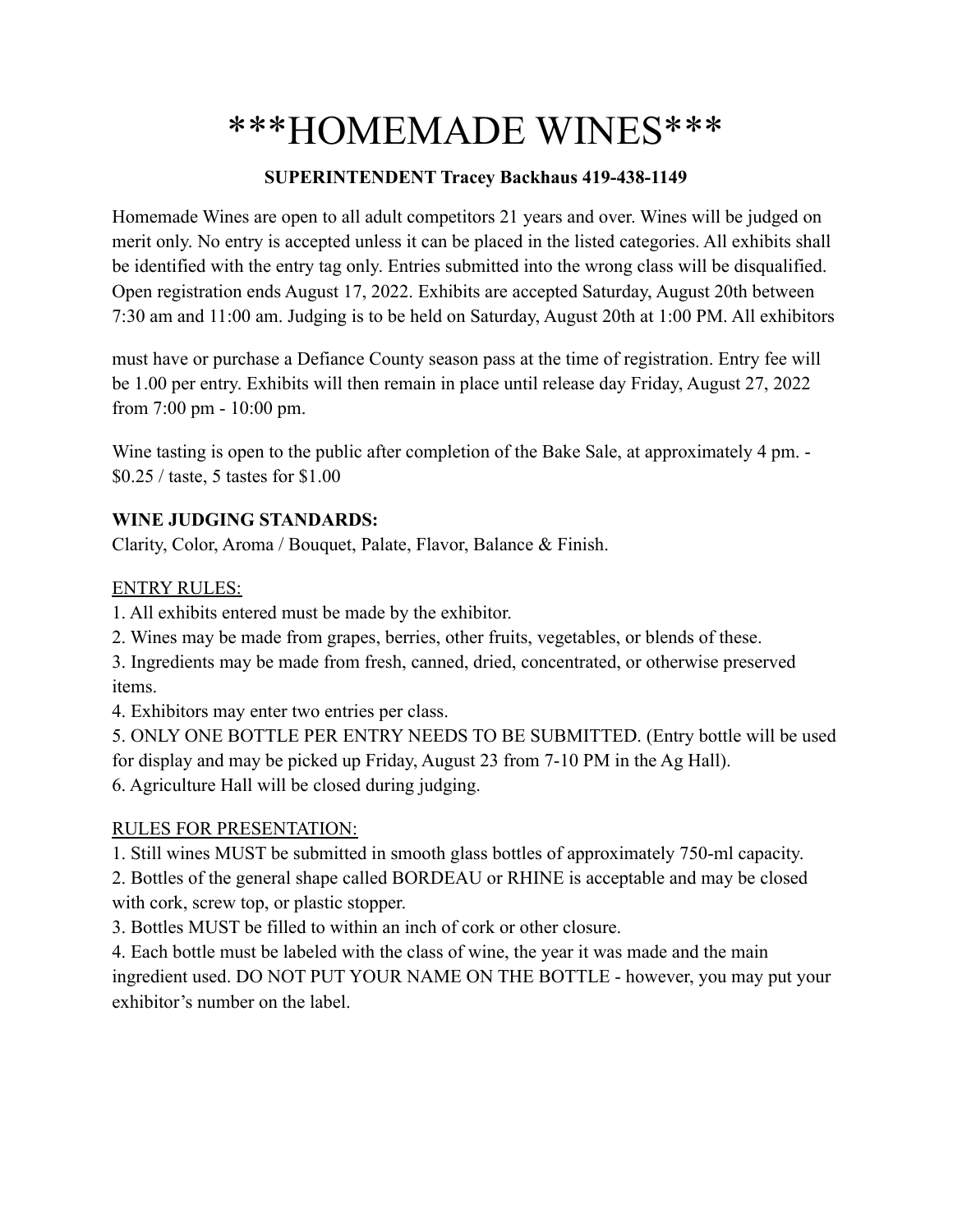## \*\*\*HOMEMADE WINES\*\*\*

### **SUPERINTENDENT Tracey Backhaus 419-438-1149**

Homemade Wines are open to all adult competitors 21 years and over. Wines will be judged on merit only. No entry is accepted unless it can be placed in the listed categories. All exhibits shall be identified with the entry tag only. Entries submitted into the wrong class will be disqualified. Open registration ends August 17, 2022. Exhibits are accepted Saturday, August 20th between 7:30 am and 11:00 am. Judging is to be held on Saturday, August 20th at 1:00 PM. All exhibitors

must have or purchase a Defiance County season pass at the time of registration. Entry fee will be 1.00 per entry. Exhibits will then remain in place until release day Friday, August 27, 2022 from 7:00 pm - 10:00 pm.

Wine tasting is open to the public after completion of the Bake Sale, at approximately 4 pm. -\$0.25 / taste, 5 tastes for \$1.00

### **WINE JUDGING STANDARDS:**

Clarity, Color, Aroma / Bouquet, Palate, Flavor, Balance & Finish.

### ENTRY RULES:

1. All exhibits entered must be made by the exhibitor.

2. Wines may be made from grapes, berries, other fruits, vegetables, or blends of these.

3. Ingredients may be made from fresh, canned, dried, concentrated, or otherwise preserved items.

4. Exhibitors may enter two entries per class.

5. ONLY ONE BOTTLE PER ENTRY NEEDS TO BE SUBMITTED. (Entry bottle will be used for display and may be picked up Friday, August 23 from 7-10 PM in the Ag Hall). 6. Agriculture Hall will be closed during judging.

### RULES FOR PRESENTATION:

1. Still wines MUST be submitted in smooth glass bottles of approximately 750-ml capacity.

2. Bottles of the general shape called BORDEAU or RHINE is acceptable and may be closed with cork, screw top, or plastic stopper.

3. Bottles MUST be filled to within an inch of cork or other closure.

4. Each bottle must be labeled with the class of wine, the year it was made and the main ingredient used. DO NOT PUT YOUR NAME ON THE BOTTLE - however, you may put your exhibitor's number on the label.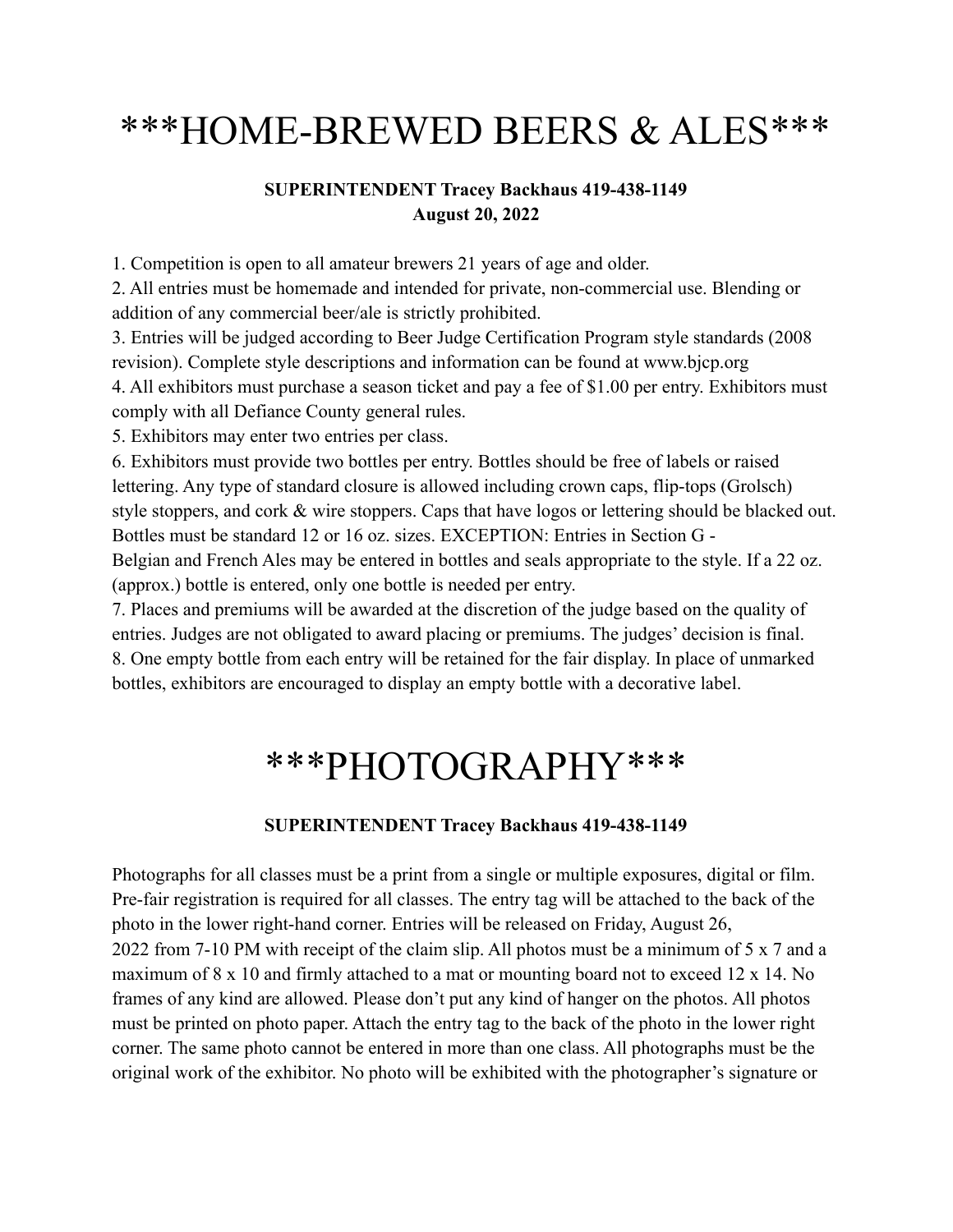# \*\*\*HOME-BREWED BEERS & ALES\*\*\*

### **SUPERINTENDENT Tracey Backhaus 419-438-1149 August 20, 2022**

1. Competition is open to all amateur brewers 21 years of age and older.

2. All entries must be homemade and intended for private, non-commercial use. Blending or addition of any commercial beer/ale is strictly prohibited.

3. Entries will be judged according to Beer Judge Certification Program style standards (2008 revision). Complete style descriptions and information can be found at www.bjcp.org 4. All exhibitors must purchase a season ticket and pay a fee of \$1.00 per entry. Exhibitors must comply with all Defiance County general rules.

5. Exhibitors may enter two entries per class.

6. Exhibitors must provide two bottles per entry. Bottles should be free of labels or raised lettering. Any type of standard closure is allowed including crown caps, flip-tops (Grolsch) style stoppers, and cork & wire stoppers. Caps that have logos or lettering should be blacked out. Bottles must be standard 12 or 16 oz. sizes. EXCEPTION: Entries in Section G - Belgian and French Ales may be entered in bottles and seals appropriate to the style. If a 22 oz. (approx.) bottle is entered, only one bottle is needed per entry.

7. Places and premiums will be awarded at the discretion of the judge based on the quality of entries. Judges are not obligated to award placing or premiums. The judges' decision is final. 8. One empty bottle from each entry will be retained for the fair display. In place of unmarked bottles, exhibitors are encouraged to display an empty bottle with a decorative label.

## \*\*\*PHOTOGRAPHY\*\*\*

### **SUPERINTENDENT Tracey Backhaus 419-438-1149**

Photographs for all classes must be a print from a single or multiple exposures, digital or film. Pre-fair registration is required for all classes. The entry tag will be attached to the back of the photo in the lower right-hand corner. Entries will be released on Friday, August 26, 2022 from 7-10 PM with receipt of the claim slip. All photos must be a minimum of 5 x 7 and a maximum of 8 x 10 and firmly attached to a mat or mounting board not to exceed 12 x 14. No frames of any kind are allowed. Please don't put any kind of hanger on the photos. All photos must be printed on photo paper. Attach the entry tag to the back of the photo in the lower right corner. The same photo cannot be entered in more than one class. All photographs must be the original work of the exhibitor. No photo will be exhibited with the photographer's signature or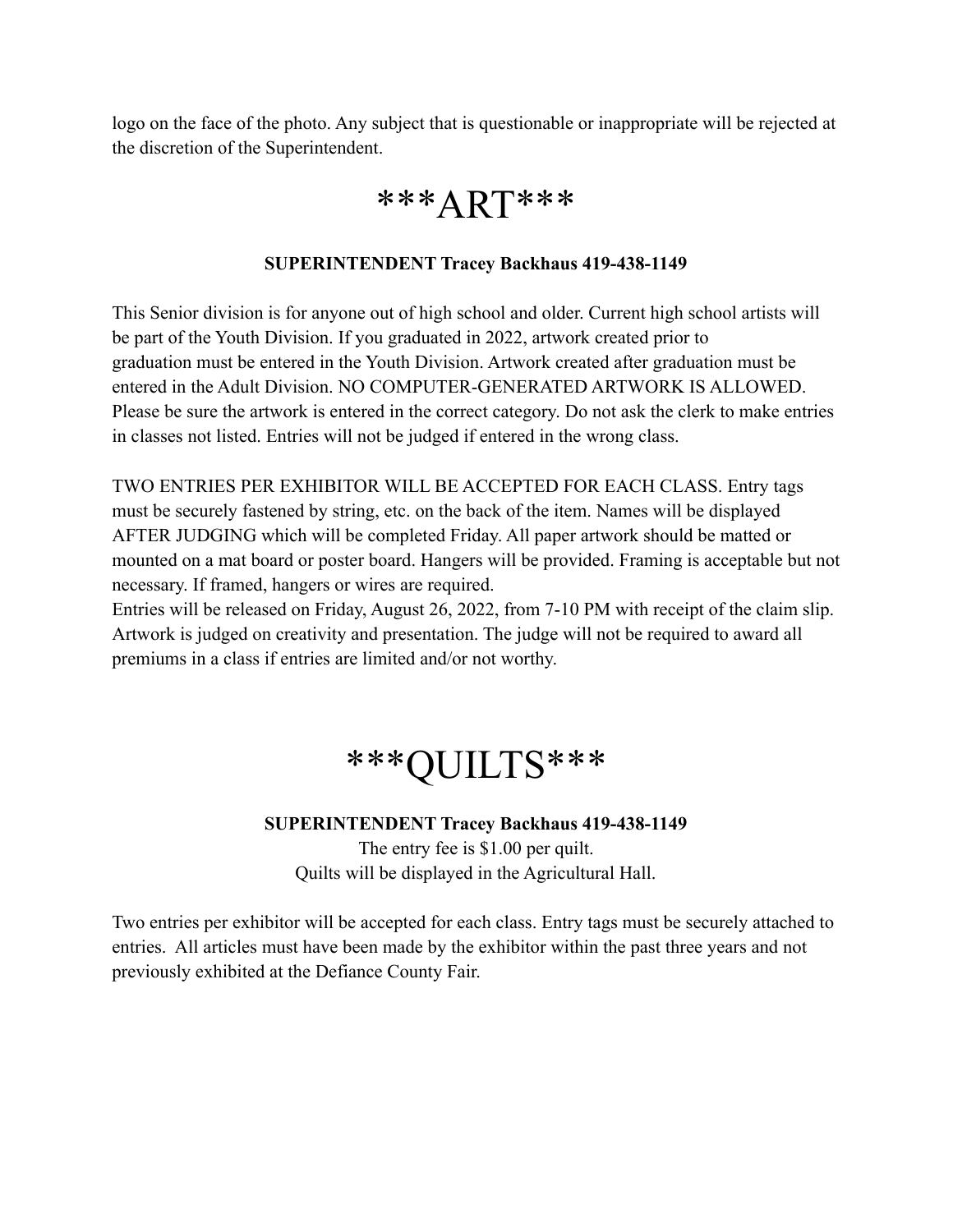logo on the face of the photo. Any subject that is questionable or inappropriate will be rejected at the discretion of the Superintendent.

### \*\*\*ART\*\*\*

### **SUPERINTENDENT Tracey Backhaus 419-438-1149**

This Senior division is for anyone out of high school and older. Current high school artists will be part of the Youth Division. If you graduated in 2022, artwork created prior to graduation must be entered in the Youth Division. Artwork created after graduation must be entered in the Adult Division. NO COMPUTER-GENERATED ARTWORK IS ALLOWED. Please be sure the artwork is entered in the correct category. Do not ask the clerk to make entries in classes not listed. Entries will not be judged if entered in the wrong class.

TWO ENTRIES PER EXHIBITOR WILL BE ACCEPTED FOR EACH CLASS. Entry tags must be securely fastened by string, etc. on the back of the item. Names will be displayed AFTER JUDGING which will be completed Friday. All paper artwork should be matted or mounted on a mat board or poster board. Hangers will be provided. Framing is acceptable but not necessary. If framed, hangers or wires are required.

Entries will be released on Friday, August 26, 2022, from 7-10 PM with receipt of the claim slip. Artwork is judged on creativity and presentation. The judge will not be required to award all premiums in a class if entries are limited and/or not worthy.

## \*\*\*QUILTS\*\*\*

### **SUPERINTENDENT Tracey Backhaus 419-438-1149**

The entry fee is \$1.00 per quilt. Quilts will be displayed in the Agricultural Hall.

Two entries per exhibitor will be accepted for each class. Entry tags must be securely attached to entries. All articles must have been made by the exhibitor within the past three years and not previously exhibited at the Defiance County Fair.